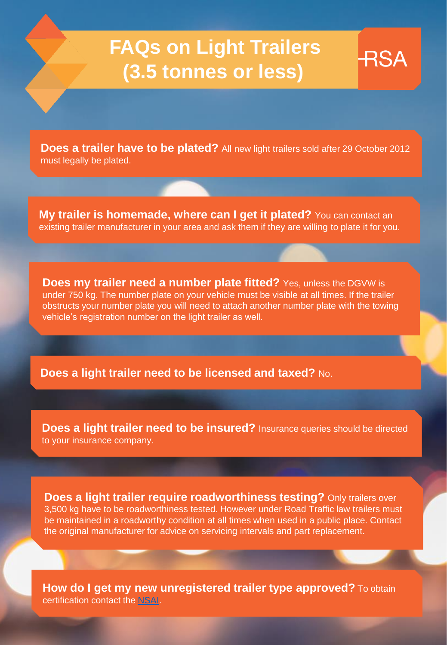# **FAQs on Light Trailers (3.5 tonnes or less)**

**RSA** 

**Does a trailer have to be plated?** All new light trailers sold after 29 October 2012 must legally be plated.

**My trailer is homemade, where can I get it plated?** You can contact an existing trailer manufacturer in your area and ask them if they are willing to plate it for you.

**Does my trailer need a number plate fitted?** Yes, unless the DGVW is under 750 kg. The number plate on your vehicle must be visible at all times. If the trailer obstructs your number plate you will need to attach another number plate with the towing vehicle's registration number on the light trailer as well.

**Does a light trailer need to be licensed and taxed?** No.

**Does a light trailer need to be insured?** Insurance queries should be directed to your insurance company.

**Does a light trailer require roadworthiness testing?** Only trailers over 3,500 kg have to be roadworthiness tested. However under Road Traffic law trailers must be maintained in a roadworthy condition at all times when used in a public place. Contact the original manufacturer for advice on servicing intervals and part replacement.

**How do I get my new unregistered trailer type approved?** To obtain certification contact the [NSAI](https://www.nsai.ie/Type-Approval.aspx).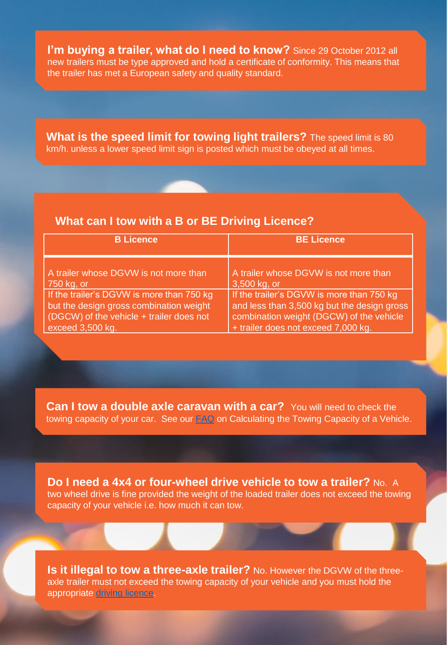**I'm buying a trailer, what do I need to know?** Since 29 October 2012 all new trailers must be type approved and hold a certificate of conformity. This means that the trailer has met a European safety and quality standard.

**What is the speed limit for towing light trailers?** The speed limit is 80 km/h. unless a lower speed limit sign is posted which must be obeyed at all times.

#### **What can I tow with a B or BE Driving Licence?**

| <b>B</b> Licence                          | <b>BE Licence</b>                           |
|-------------------------------------------|---------------------------------------------|
| A trailer whose DGVW is not more than     | A trailer whose DGVW is not more than       |
| 750 kg, or                                | 3,500 kg, or                                |
| If the trailer's DGVW is more than 750 kg | If the trailer's DGVW is more than 750 kg   |
| but the design gross combination weight   | and less than 3,500 kg but the design gross |
| (DGCW) of the vehicle + trailer does not  | combination weight (DGCW) of the vehicle    |
| exceed 3,500 kg.                          | + trailer does not exceed 7,000 kg.         |

**Can I tow a double axle caravan with a car?** You will need to check the towing capacity of your car. See our **FAQ** on Calculating the Towing Capacity of a Vehicle.

**Do I need a 4x4 or four-wheel drive vehicle to tow a trailer?** No. A two wheel drive is fine provided the weight of the loaded trailer does not exceed the towing capacity of your vehicle i.e. how much it can tow.

**Is it illegal to tow a three-axle trailer?** No. However the DGVW of the threeaxle trailer must not exceed the towing capacity of your vehicle and you must hold the appropriate [driving licence.](https://www.ndls.ie/how-to-apply.html#licence-categories)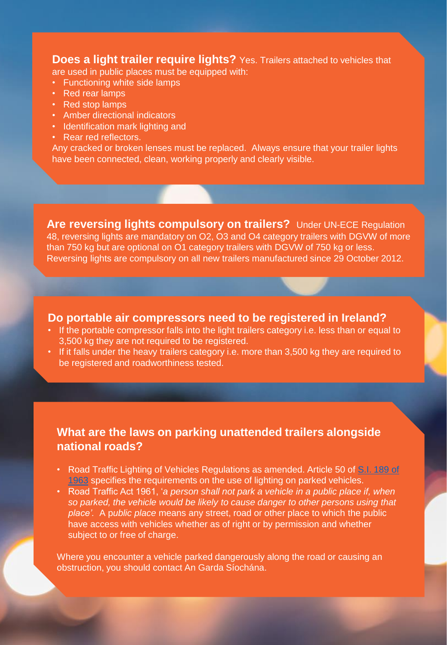**Does a light trailer require lights?** Yes. Trailers attached to vehicles that are used in public places must be equipped with:

- Functioning white side lamps
- Red rear lamps
- Red stop lamps
- Amber directional indicators
- Identification mark lighting and
- Rear red reflectors.

Any cracked or broken lenses must be replaced. Always ensure that your trailer lights have been connected, clean, working properly and clearly visible.

**Are reversing lights compulsory on trailers?** Under UN-ECE Regulation 48, reversing lights are mandatory on O2, O3 and O4 category trailers with DGVW of more than 750 kg but are optional on O1 category trailers with DGVW of 750 kg or less. Reversing lights are compulsory on all new trailers manufactured since 29 October 2012.

**Do portable air compressors need to be registered in Ireland?** 

- If the portable compressor falls into the light trailers category i.e. less than or equal to 3,500 kg they are not required to be registered.
- If it falls under the heavy trailers category i.e. more than 3,500 kg they are required to be registered and roadworthiness tested.

### **What are the laws on parking unattended trailers alongside national roads?**

- Road Traffic Lighting of Vehicles Regulations as amended. Article 50 of S.I. 189 of 1963 specifies the requirements on the use of lighting on parked vehicles.
- Road Traffic Act 1961, '*a person shall not park a vehicle in a public place if, when so parked, the vehicle would be likely to cause danger to other persons using that place'.* A p*ublic place* means any street, road or other place to which the public have access with vehicles whether as of right or by permission and whether subject to or free of charge.

Where you encounter a vehicle parked dangerously along the road or causing an obstruction, you should contact An Garda Síochána.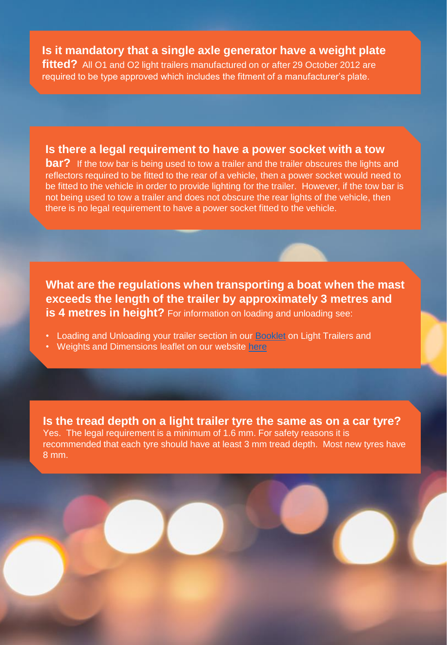## **Is it mandatory that a single axle generator have a weight plate**

**fitted?** All O1 and O2 light trailers manufactured on or after 29 October 2012 are required to be type approved which includes the fitment of a manufacturer's plate.

#### **Is there a legal requirement to have a power socket with a tow**

**bar?** If the tow bar is being used to tow a trailer and the trailer obscures the lights and reflectors required to be fitted to the rear of a vehicle, then a power socket would need to be fitted to the vehicle in order to provide lighting for the trailer. However, if the tow bar is not being used to tow a trailer and does not obscure the rear lights of the vehicle, then there is no legal requirement to have a power socket fitted to the vehicle.

**What are the regulations when transporting a boat when the mast exceeds the length of the trailer by approximately 3 metres and is 4 metres in height?** For information on loading and unloading see:

- Loading and Unloading your trailer section in our [Booklet](https://rsa.ie/Documents/Vehicle%20Std%20Leg/Road%20Safety%20Advice%20for%20Drawing%20Light%20Trailers%20A5%20booklet%20Amends%209-12-15%20%20%20%20.pdf) on Light Trailers and
- Weights and Dimensions leaflet on our website [here](https://www.rsa.ie/Documents/Vehicle%20Std%20Leg/Weights%20and%20Dimensions/Weights%20and%20Dimensions%20Leaflets%20March%202020.pdf)

**Is the tread depth on a light trailer tyre the same as on a car tyre?**  Yes. The legal requirement is a minimum of 1.6 mm. For safety reasons it is recommended that each tyre should have at least 3 mm tread depth. Most new tyres have 8 mm.